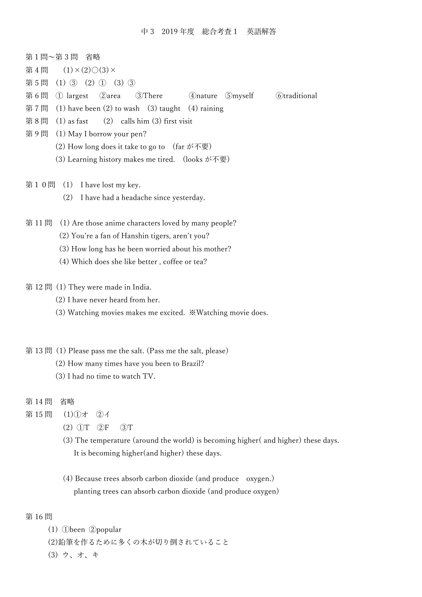| 第1問~第3問 省略                                                                                   |
|----------------------------------------------------------------------------------------------|
| $(1) \times (2) \bigcirc (3) \times$<br>第4問                                                  |
| $(1)$ 3 $(2)$ 1 $(3)$ 3<br>第5問                                                               |
| 第6問<br>②area<br><b>4</b> ) nature 5 myself<br>① largest<br>3There<br><b>C</b> traditional    |
| (1) have been $(2)$ to wash $(3)$ taught $(4)$ raining<br>第7問                                |
| 第8問<br>$(1)$ as fast<br>$(2)$ calls him $(3)$ first visit                                    |
| 第9問<br>(1) May I borrow your pen?                                                            |
| (2) How long does it take to go to $(\text{far } \mathcal{N} \overline{\oplus \mathcal{B}})$ |
| (3) Learning history makes me tired. (looks が不要)                                             |
| 第10問<br>(1) I have lost my key.                                                              |
| (2)<br>I have had a headache since yesterday.                                                |
|                                                                                              |
| 第11問<br>(1) Are those anime characters loved by many people?                                 |
| (2) You're a fan of Hanshin tigers, aren't you?                                              |
| (3) How long has he been worried about his mother?                                           |
| (4) Which does she like better, coffee or tea?                                               |
|                                                                                              |
| 第12 問 (1) They were made in India.                                                           |
| (2) I have never heard from her.                                                             |
| (3) Watching movies makes me excited. ※Watching movie does.                                  |
|                                                                                              |
| 第 13 問 (1) Please pass me the salt. (Pass me the salt, please)                               |
| (2) How many times have you been to Brazil?                                                  |
| (3) I had no time to watch TV.                                                               |
|                                                                                              |
| 第14問<br>省略                                                                                   |
| 第15問<br>$(1)$ ①才<br>(2)                                                                      |
| $(2)$ $\mathbb{O}T$<br>$\circled{3}T$<br>$\bigcirc$                                          |
| (3) The temperature (around the world) is becoming higher( and higher) these days.           |
| It is becoming higher (and higher) these days.                                               |
| (4) Because trees absorb carbon dioxide (and produce<br>oxygen.)                             |
| planting trees can absorb carbon dioxide (and produce oxygen)                                |
|                                                                                              |
| 第16問                                                                                         |

- (1) ①been ②popular
- (2)鉛筆を作るために多くの木が切り倒されていること
- (3) ウ、オ、キ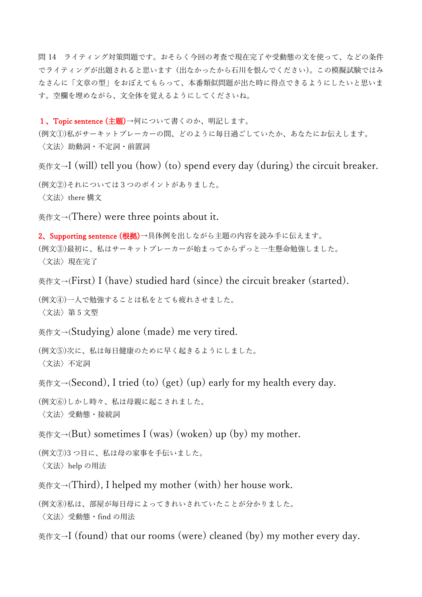問 14 ライティング対策問題です。おそらく今回の考査で現在完了や受動態の文を使って、などの条件 でライティングが出題されると思います(出なかったから石川を恨んでください)。この模擬試験ではみ なさんに「文章の型」をおぼえてもらって、本番類似問題が出た時に得点できるようにしたいと思いま す。空欄を埋めながら、文全体を覚えるようにしてくださいね。

1、Topic sentence (主題)→何について書くのか、明記します。

(例文①)私がサーキットブレーカーの間、どのように毎日過ごしていたか、あなたにお伝えします。 〈文法〉助動詞・不定詞・前置詞

英作文→I (will) tell you (how) (to) spend every day (during) the circuit breaker.

(例文②)それについては3つのポイントがありました。 〈文法〉there 構文

英作文→(There) were three points about it.

2、Supporting sentence (根拠)→具体例を出しながら主題の内容を読み手に伝えます。 (例文③)最初に、私はサーキットブレーカーが始まってからずっと一生懸命勉強しました。 〈文法〉現在完了

英作文→(First) I (have) studied hard (since) the circuit breaker (started).

(例文④)一人で勉強することは私をとても疲れさせました。 〈文法〉第 5 文型

英作文→(Studying) alone (made) me very tired.

(例文⑤)次に、私は毎日健康のために早く起きるようにしました。 〈文法〉不定詞

英作文→(Second), I tried (to) (get) (up) early for my health every day.

(例文⑥)しかし時々、私は母親に起こされました。 〈文法〉受動態・接続詞

英作文→(But) sometimes I (was) (woken) up (by) my mother.

(例文⑦)3 つ目に、私は母の家事を手伝いました。 〈文法〉help の用法

英作文→(Third), I helped my mother (with) her house work.

(例文⑧)私は、部屋が毎日母によってきれいされていたことが分かりました。 〈文法〉受動態・find の用法

英作文→I (found) that our rooms (were) cleaned (by) my mother every day.